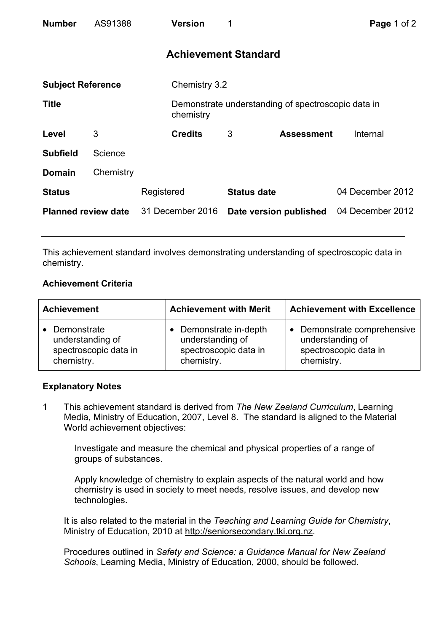| <b>Number</b>              | AS91388   |                  | <b>Version</b> | 1                           |                                                    | Page 1 of 2      |
|----------------------------|-----------|------------------|----------------|-----------------------------|----------------------------------------------------|------------------|
|                            |           |                  |                | <b>Achievement Standard</b> |                                                    |                  |
| <b>Subject Reference</b>   |           |                  | Chemistry 3.2  |                             |                                                    |                  |
| <b>Title</b>               |           |                  | chemistry      |                             | Demonstrate understanding of spectroscopic data in |                  |
| Level                      | 3         |                  | <b>Credits</b> | 3                           | <b>Assessment</b>                                  | Internal         |
| <b>Subfield</b>            | Science   |                  |                |                             |                                                    |                  |
| <b>Domain</b>              | Chemistry |                  |                |                             |                                                    |                  |
| <b>Status</b>              |           | Registered       |                | <b>Status date</b>          |                                                    | 04 December 2012 |
| <b>Planned review date</b> |           | 31 December 2016 |                | Date version published      |                                                    | 04 December 2012 |

This achievement standard involves demonstrating understanding of spectroscopic data in chemistry.

# **Achievement Criteria**

| <b>Achievement</b>    | <b>Achievement with Merit</b> | <b>Achievement with Excellence</b> |  |
|-----------------------|-------------------------------|------------------------------------|--|
| • Demonstrate         | • Demonstrate in-depth        | • Demonstrate comprehensive        |  |
| understanding of      | understanding of              | understanding of                   |  |
| spectroscopic data in | spectroscopic data in         | spectroscopic data in              |  |
| chemistry.            | chemistry.                    | chemistry.                         |  |

## **Explanatory Notes**

1 This achievement standard is derived from *The New Zealand Curriculum*, Learning Media, Ministry of Education, 2007, Level 8. The standard is aligned to the Material World achievement objectives:

Investigate and measure the chemical and physical properties of a range of groups of substances.

Apply knowledge of chemistry to explain aspects of the natural world and how chemistry is used in society to meet needs, resolve issues, and develop new technologies.

It is also related to the material in the *Teaching and Learning Guide for Chemistry*, Ministry of Education, 2010 at http://seniorsecondary.tki.org.nz.

Procedures outlined in *Safety and Science: a Guidance Manual for New Zealand Schools*, Learning Media, Ministry of Education, 2000, should be followed.